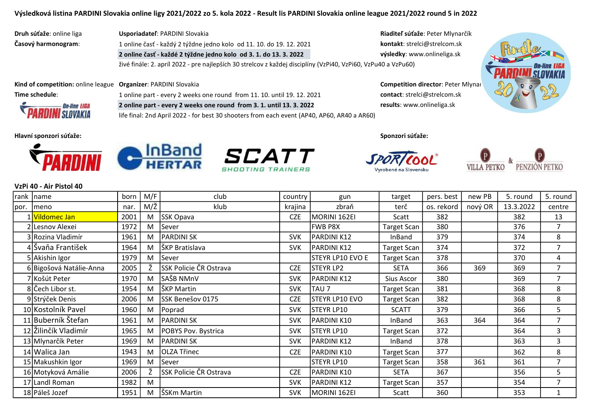life final: 2nd April 2022 - for best 30 shooters from each event (AP40, AP60, AR40 a AR60)

Druh súťaže: online liga **Usporiadateľ**: PARDINI Slovakia Riaditeľ súťaže: Peter Mlynarčík Časový harmonogram: 1 online časť - každý 2 týždne jedno kolo od 11. 10. do 19. 12. 2021 kontakt: strelci@strelcom.sk

2 online časť - každé 2 týždne jedno kolo od 3. 1. do 13. 3. 2022 výsledky: www.onlineliga.sk



Kind of competition: online league Organizer: PARDINI Slovakia Competition director: Peter Mlynarčík Competition director: Peter Mlynar Time schedule: 1 online part - every 2 weeks one round from 11. 10. until 19. 12. 2021 contact: strelci@strelcom.sk 2 online part - every 2 weeks one round from 3. 1. until 13. 3. 2022 results: www.onlineliga.sk

Hlavní sponzori súťaže: Sponzori súťaže:



**On-line LIGA SLOVAKIA** 





živé finále: 2. apríl 2022 - pre najlepších 30 strelcov z každej disciplíny (VzPi40, VzPi60, VzPu40 a VzPu60)

Vyrobené na Slovensku



#### VzPi 40 - Air Pistol 40

| rank | Iname                   | born | M/F | club                   | country    | gun              | target             | pers. best | new PB  | 5. round  | 5. round       |
|------|-------------------------|------|-----|------------------------|------------|------------------|--------------------|------------|---------|-----------|----------------|
| por. | Imeno                   | nar. | M/Ž | klub                   | krajina    | zbraň            | terč               | os. rekord | nový OR | 13.3.2022 | centre         |
|      | 1 Vildomec Jan          | 2001 | M   | SSK Opava              | <b>CZE</b> | MORINI 162EI     | Scatt              | 382        |         | 382       | 13             |
|      | 2 Lesnov Alexei         | 1972 | M   | Sever                  |            | <b>FWB P8X</b>   | <b>Target Scan</b> | 380        |         | 376       | $\overline{7}$ |
|      | 3 Rozina Vladimír       | 1961 | M   | <b>PARDINI SK</b>      | <b>SVK</b> | PARDINI K12      | InBand             | 379        |         | 374       | 8              |
|      | 4 Švaňa František       | 1964 | M   | ŠKP Bratislava         | <b>SVK</b> | PARDINI K12      | <b>Target Scan</b> | 374        |         | 372       | $\overline{7}$ |
|      | 5 Akishin Igor          | 1979 | M   | Sever                  |            | STEYR LP10 EVO E | <b>Target Scan</b> | 378        |         | 370       | 4              |
|      | 6 Bigošová Natálie-Anna | 2005 | Ž   | SSK Policie ČR Ostrava | <b>CZE</b> | STEYR LP2        | <b>SETA</b>        | 366        | 369     | 369       | 7              |
|      | 7 Košút Peter           | 1970 | M   | SAŠB NMnV              | <b>SVK</b> | PARDINI K12      | Sius Ascor         | 380        |         | 369       | $\overline{7}$ |
|      | 8 Čech Libor st.        | 1954 | M   | ŠKP Martin             | <b>SVK</b> | TAU <sub>7</sub> | <b>Target Scan</b> | 381        |         | 368       | 8              |
|      | 9 Strýček Denis         | 2006 | M   | SSK Benešov 0175       | <b>CZE</b> | STEYR LP10 EVO   | <b>Target Scan</b> | 382        |         | 368       | 8              |
|      | 10 Kostolník Pavel      | 1960 | M   | Poprad                 | <b>SVK</b> | STEYR LP10       | <b>SCATT</b>       | 379        |         | 366       | 5              |
|      | 11 Buberník Štefan      | 1961 | M   | <b>PARDINI SK</b>      | <b>SVK</b> | PARDINI K10      | InBand             | 363        | 364     | 364       | $\overline{7}$ |
|      | 12 Žilinčík Vladimír    | 1965 | M   | POBYS Pov. Bystrica    | <b>SVK</b> | STEYR LP10       | <b>Target Scan</b> | 372        |         | 364       | 3              |
|      | 13 Mlynarčík Peter      | 1969 | M   | PARDINI SK             | <b>SVK</b> | PARDINI K12      | InBand             | 378        |         | 363       | 3              |
|      | 14 Walica Jan           | 1943 | M   | OLZA Třinec            | <b>CZE</b> | PARDINI K10      | Target Scan        | 377        |         | 362       | 8              |
|      | 15 Makushkin Igor       | 1969 | M   | Sever                  |            | STEYR LP10       | Target Scan        | 358        | 361     | 361       | $\overline{7}$ |
|      | 16 Motyková Amálie      | 2006 | Ž   | SSK Policie ČR Ostrava | <b>CZE</b> | PARDINI K10      | <b>SETA</b>        | 367        |         | 356       | 5              |
|      | 17 Landl Roman          | 1982 | M   |                        | <b>SVK</b> | PARDINI K12      | <b>Target Scan</b> | 357        |         | 354       | $\overline{7}$ |
|      | 18 Páleš Jozef          | 1951 | M   | ŠSKm Martin            | <b>SVK</b> | MORINI 162EI     | Scatt              | 360        |         | 353       |                |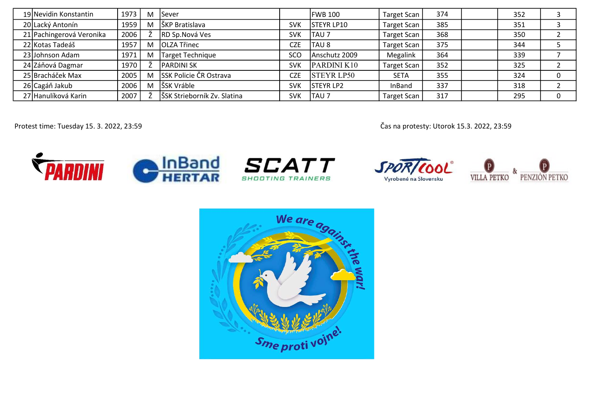| 19 Nevidin Konstantin    | 1973 | M | <b>Sever</b>                  |            | FWB 100           | <b>Target Scan</b> | 374 | 352 |   |
|--------------------------|------|---|-------------------------------|------------|-------------------|--------------------|-----|-----|---|
| 20 Lacký Antonín         | 1959 | M | ŠKP Bratislava                | <b>SVK</b> | <b>STEYR LP10</b> | <b>Target Scan</b> | 385 | 351 |   |
| 21 Pachingerová Veronika | 2006 |   | RD Sp.Nová Ves                | <b>SVK</b> | <b>TAU7</b>       | <b>Target Scan</b> | 368 | 350 |   |
| 22 Kotas Tadeáš          | 1957 | M | <b>OLZA Třinec</b>            | <b>CZE</b> | TAU 8             | Target Scan        | 375 | 344 |   |
| 23 Johnson Adam          | 1971 | M | Target Technique              | SCO        | Anschutz 2009     | Megalink           | 364 | 339 |   |
| 24 Záňová Dagmar         | 1970 |   | <b>IPARDINI SK</b>            | <b>SVK</b> | PARDINI K10       | <b>Target Scan</b> | 352 | 325 |   |
| 25 Bracháček Max         | 2005 | M | <b>SSK Policie ČR Ostrava</b> | <b>CZE</b> | <b>STEYR LP50</b> | <b>SETA</b>        | 355 | 324 |   |
| 26 Cagáň Jakub           | 2006 | M | ŠSK Vráble                    | <b>SVK</b> | <b>STEYR LP2</b>  | InBand             | 337 | 318 |   |
| 27 Hanulíková Karin      | 2007 |   | ŠSK Strieborník Zv. Slatina   | <b>SVK</b> | <b>TAU 7</b>      | <b>Target Scan</b> | 317 | 295 | 0 |

Protest time: Tuesday 15. 3. 2022, 23:59 Čas na protesty: Utorok 15.3. 2022, 23:59



SPOR/COOL Vyrobené na Slovensku



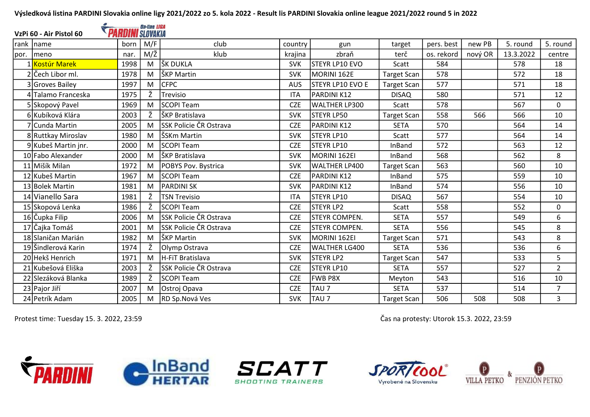|      | VzPi 60 - Air Pistol 60 | <b>PARDINI</b> SLOVAKIA | <b>On-line LIGA</b> |                               |            |                         |                    |            |         |           |                |
|------|-------------------------|-------------------------|---------------------|-------------------------------|------------|-------------------------|--------------------|------------|---------|-----------|----------------|
| rank | Iname                   | born                    | M/F                 | club                          | country    | gun                     | target             | pers. best | new PB  | 5. round  | 5. round       |
| por. | meno                    | nar.                    | M/Ž                 | klub                          | krajina    | zbraň                   | terč               | os. rekord | nový OR | 13.3.2022 | centre         |
|      | 1 Kostúr Marek          | 1998                    | M                   | ŠK DUKLA                      | <b>SVK</b> | STEYR LP10 EVO          | Scatt              | 584        |         | 578       | 18             |
|      | 2 Čech Libor ml.        | 1978                    | M                   | ŠKP Martin                    | <b>SVK</b> | MORINI 162E             | <b>Target Scan</b> | 578        |         | 572       | 18             |
|      | 3 Groves Bailey         | 1997                    | M                   | <b>CFPC</b>                   | <b>AUS</b> | <b>STEYR LP10 EVO E</b> | <b>Target Scan</b> | 577        |         | 571       | 18             |
|      | 4 Talamo Franceska      | 1975                    | Ž                   | Trevisio                      | <b>ITA</b> | PARDINI K12             | <b>DISAQ</b>       | 580        |         | 571       | 12             |
|      | 5 Skopový Pavel         | 1969                    | M                   | <b>SCOPI Team</b>             | <b>CZE</b> | WALTHER LP300           | Scatt              | 578        |         | 567       | $\mathbf 0$    |
|      | 6 Kubíková Klára        | 2003                    | Ž                   | ŠKP Bratislava                | <b>SVK</b> | <b>STEYR LP50</b>       | <b>Target Scan</b> | 558        | 566     | 566       | 10             |
|      | 7 Cunda Martin          | 2005                    | M                   | SSK Policie ČR Ostrava        | <b>CZE</b> | PARDINI K12             | <b>SETA</b>        | 570        |         | 564       | 14             |
|      | 8 Ruttkay Miroslav      | 1980                    | M                   | ŠSKm Martin                   | <b>SVK</b> | STEYR LP10              | Scatt              | 577        |         | 564       | 14             |
|      | 9 Kubeš Martin jnr.     | 2000                    | M                   | <b>SCOPI Team</b>             | <b>CZE</b> | <b>STEYR LP10</b>       | <b>InBand</b>      | 572        |         | 563       | 12             |
|      | 10 Fabo Alexander       | 2000                    | M                   | ŠKP Bratislava                | <b>SVK</b> | MORINI 162EI            | InBand             | 568        |         | 562       | 8              |
|      | 11 Mišík Milan          | 1972                    | M                   | POBYS Pov. Bystrica           | <b>SVK</b> | WALTHER LP400           | <b>Target Scan</b> | 563        |         | 560       | 10             |
|      | 12 Kubeš Martin         | 1967                    | M                   | <b>SCOPI Team</b>             | <b>CZE</b> | PARDINI K12             | InBand             | 575        |         | 559       | 10             |
|      | 13 Bolek Martin         | 1981                    | M                   | <b>PARDINI SK</b>             | <b>SVK</b> | PARDINI K12             | InBand             | 574        |         | 556       | 10             |
|      | 14 Vianello Sara        | 1981                    | Ž                   | <b>TSN Trevisio</b>           | <b>ITA</b> | <b>ISTEYR LP10</b>      | <b>DISAQ</b>       | 567        |         | 554       | 10             |
|      | 15 Skopová Lenka        | 1986                    | ž                   | SCOPI Team                    | <b>CZE</b> | <b>STEYR LP2</b>        | Scatt              | 558        |         | 552       | $\mathbf 0$    |
|      | 16 Čupka Filip          | 2006                    | M                   | SSK Policie ČR Ostrava        | <b>CZE</b> | <b>STEYR COMPEN.</b>    | <b>SETA</b>        | 557        |         | 549       | 6              |
|      | 17 Čajka Tomáš          | 2001                    | M                   | SSK Policie ČR Ostrava        | <b>CZE</b> | <b>STEYR COMPEN.</b>    | <b>SETA</b>        | 556        |         | 545       | 8              |
|      | 18 Slaničan Marián      | 1982                    | M                   | ŠKP Martin                    | <b>SVK</b> | MORINI 162EI            | <b>Target Scan</b> | 571        |         | 543       | 8              |
|      | 19 Šindlerová Karin     | 1974                    | Ž                   | Olymp Ostrava                 | <b>CZE</b> | WALTHER LG400           | <b>SETA</b>        | 536        |         | 536       | 6              |
|      | 20 Hekš Henrich         | 1971                    | M                   | H-FiT Bratislava              | <b>SVK</b> | <b>STEYR LP2</b>        | <b>Target Scan</b> | 547        |         | 533       | 5              |
|      | 21 Kubešová Eliška      | 2003                    | Ž                   | <b>SSK Policie ČR Ostrava</b> | <b>CZE</b> | <b>STEYR LP10</b>       | <b>SETA</b>        | 557        |         | 527       | $\overline{2}$ |
|      | 22 Slezáková Blanka     | 1989                    | Ž                   | SCOPI Team                    | <b>CZE</b> | <b>FWB P8X</b>          | Meyton             | 543        |         | 516       | 10             |
|      | 23 Pajor Jiří           | 2007                    | M                   | Ostroj Opava                  | <b>CZE</b> | TAU <sub>7</sub>        | <b>SETA</b>        | 537        |         | 514       | $\overline{7}$ |
|      | 24 Petrík Adam          | 2005                    | M                   | RD Sp.Nová Ves                | <b>SVK</b> | TAU 7                   | <b>Target Scan</b> | 506        | 508     | 508       | 3              |

 $\bullet$ 

Protest time: Tuesday 15. 3. 2022, 23:59 Čas na protesty: Utorok 15.3. 2022, 23:59









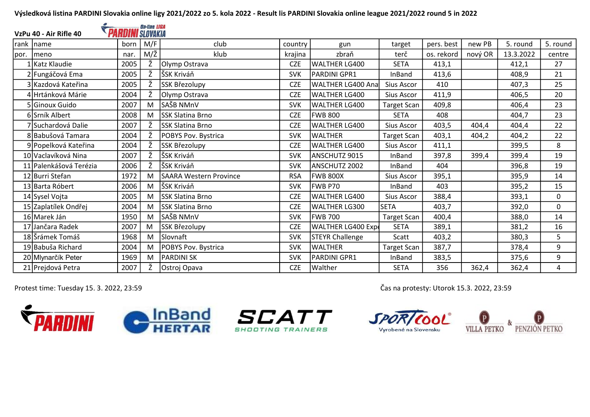| On-line LIGA<br><b>PARDINI</b> SLOVAKIA<br>VzPu 40 - Air Rifle 40 |                        |      |     |                               |            |                        |                    |            |         |           |             |
|-------------------------------------------------------------------|------------------------|------|-----|-------------------------------|------------|------------------------|--------------------|------------|---------|-----------|-------------|
| rank                                                              | Iname                  | born | M/F | club                          | country    | gun                    | target             | pers. best | new PB  | 5. round  | 5. round    |
| por.                                                              | Imeno                  | nar. | M/Ž | klub                          | krajina    | zbraň                  | terč               | os. rekord | nový OR | 13.3.2022 | centre      |
|                                                                   | 1 Katz Klaudie         | 2005 | Ž   | Olymp Ostrava                 | <b>CZE</b> | WALTHER LG400          | <b>SETA</b>        | 413,1      |         | 412,1     | 27          |
|                                                                   | 2 Fungáčová Ema        | 2005 | Ž   | ŠSK Kriváň                    | <b>SVK</b> | PARDINI GPR1           | InBand             | 413,6      |         | 408,9     | 21          |
|                                                                   | 3 Kazdová Kateřina     | 2005 | Ž   | SSK Březolupy                 | <b>CZE</b> | WALTHER LG400 Ana      | Sius Ascor         | 410        |         | 407,3     | 25          |
|                                                                   | 4 Hrtánková Márie      | 2004 | Ž   | Olymp Ostrava                 | <b>CZE</b> | lWALTHER LG400         | Sius Ascor         | 411,9      |         | 406,5     | 20          |
|                                                                   | 5 Ginoux Guido         | 2007 | M   | SAŠB NMnV                     | <b>SVK</b> | WALTHER LG400          | <b>Target Scan</b> | 409,8      |         | 406,4     | 23          |
|                                                                   | 6 Srník Albert         | 2008 | M   | <b>SSK Slatina Brno</b>       | <b>CZE</b> | <b>FWB 800</b>         | <b>SETA</b>        | 408        |         | 404,7     | 23          |
|                                                                   | 7 Suchardová Dalie     | 2007 | Ž   | <b>SSK Slatina Brno</b>       | <b>CZE</b> | WALTHER LG400          | Sius Ascor         | 403,5      | 404,4   | 404,4     | 22          |
|                                                                   | 8 Babušová Tamara      | 2004 | Ž   | POBYS Pov. Bystrica           | <b>SVK</b> | <b>WALTHER</b>         | <b>Target Scan</b> | 403,1      | 404,2   | 404,2     | 22          |
|                                                                   | 9 Popelková Kateřina   | 2004 | Ž   | SSK Březolupy                 | <b>CZE</b> | WALTHER LG400          | Sius Ascor         | 411,1      |         | 399,5     | 8           |
|                                                                   | 10 Vaclavíková Nina    | 2007 | Ž   | ŠSK Kriváň                    | <b>SVK</b> | ANSCHUTZ 9015          | InBand             | 397,8      | 399,4   | 399,4     | 19          |
|                                                                   | 11 Palenkášová Terézia | 2006 | Ž   | ŠSK Kriváň                    | <b>SVK</b> | ANSCHUTZ 2002          | InBand             | 404        |         | 396,8     | 19          |
|                                                                   | 12 Burri Stefan        | 1972 | M   | <b>SAARA Western Province</b> | <b>RSA</b> | <b>IFWB 800X</b>       | Sius Ascor         | 395,1      |         | 395,9     | 14          |
|                                                                   | 13 Barta Róbert        | 2006 | M   | SŠK Kriváň                    | <b>SVK</b> | <b>IFWB P70</b>        | InBand             | 403        |         | 395,2     | 15          |
|                                                                   | 14 Sysel Vojta         | 2005 | M   | lSSK Slatina Brno             | <b>CZE</b> | lwalther LG400         | Sius Ascor         | 388,4      |         | 393,1     | $\mathbf 0$ |
|                                                                   | 15 Zaplatílek Ondřej   | 2004 | M   | <b>SSK Slatina Brno</b>       | <b>CZE</b> | WALTHER LG300          | <b>SETA</b>        | 403,7      |         | 392,0     | $\mathbf 0$ |
|                                                                   | 16 Marek Ján           | 1950 | M   | SAŠB NMnV                     | <b>SVK</b> | lFWB 700               | <b>Target Scan</b> | 400,4      |         | 388,0     | 14          |
|                                                                   | 17 Jančara Radek       | 2007 | M   | SSK Březolupy                 | <b>CZE</b> | WALTHER LG400 Exp      | <b>SETA</b>        | 389,1      |         | 381,2     | 16          |
|                                                                   | 18 Šrámek Tomáš        | 1968 | M   | Slovnaft                      | <b>SVK</b> | <b>STEYR Challenge</b> | Scatt              | 403,2      |         | 380,3     | 5           |
|                                                                   | 19 Babuša Richard      | 2004 | M   | POBYS Pov. Bystrica           | <b>SVK</b> | lwalther               | <b>Target Scan</b> | 387,7      |         | 378,4     | 9           |
|                                                                   | 20 Mlynarčík Peter     | 1969 | M   | <b>PARDINI SK</b>             | <b>SVK</b> | PARDINI GPR1           | InBand             | 383,5      |         | 375,6     | 9           |
|                                                                   | 21 Prejdová Petra      | 2007 | Ž   | Ostroj Opava                  | <b>CZE</b> | Walther                | <b>SETA</b>        | 356        | 362,4   | 362,4     | 4           |







Protest time: Tuesday 15. 3. 2022, 23:59 Čas na protesty: Utorok 15.3. 2022, 23:59

**SPOR** 

Vyrobené na Slovensku